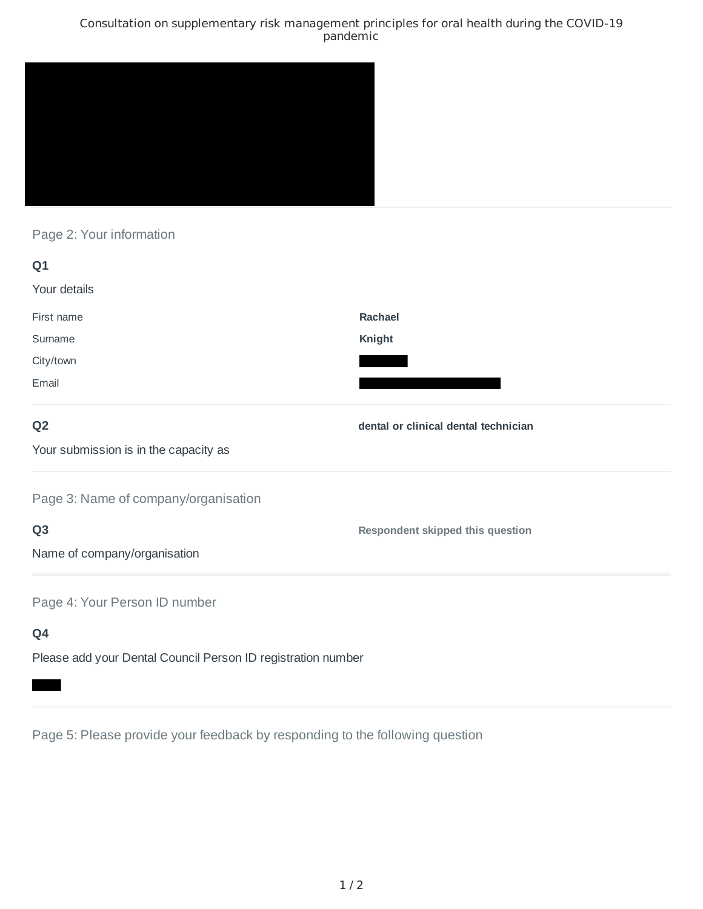### Consultation on supplementary risk management principles for oral health during the COVID-19 pandemic



# Page 2: Your information

| Q1                                                           |                                      |
|--------------------------------------------------------------|--------------------------------------|
| Your details                                                 |                                      |
| First name                                                   | Rachael                              |
| Surname                                                      | Knight                               |
| City/town                                                    |                                      |
| Email                                                        |                                      |
| Q <sub>2</sub>                                               | dental or clinical dental technician |
| Your submission is in the capacity as                        |                                      |
| Page 3: Name of company/organisation                         |                                      |
| Q <sub>3</sub>                                               | Respondent skipped this question     |
| Name of company/organisation                                 |                                      |
| Page 4: Your Person ID number                                |                                      |
| Q4                                                           |                                      |
| Please add your Dental Council Person ID registration number |                                      |

Page 5: Please provide your feedback by responding to the following question